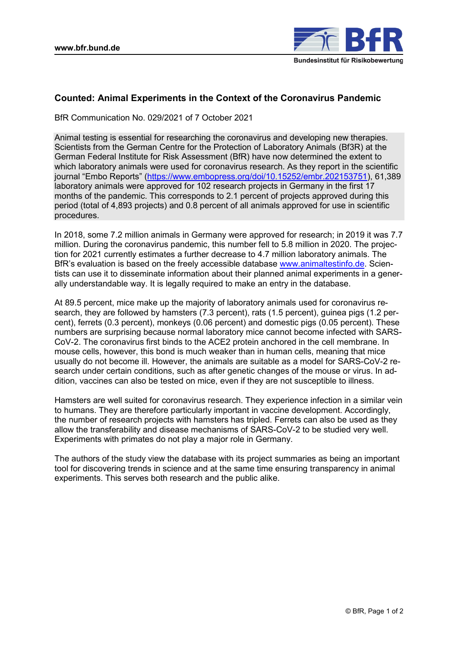

# **Counted: Animal Experiments in the Context of the Coronavirus Pandemic**

BfR Communication No. 029/2021 of 7 October 2021

Animal testing is essential for researching the coronavirus and developing new therapies. Scientists from the German Centre for the Protection of Laboratory Animals (Bf3R) at the German Federal Institute for Risk Assessment (BfR) have now determined the extent to which laboratory animals were used for coronavirus research. As they report in the scientific journal "Embo Reports" ([https://www.embopress.org/doi/10.15252/embr.202153751\)](https://www.embopress.org/doi/10.15252/embr.202153751), 61,389 laboratory animals were approved for 102 research projects in Germany in the first 17 months of the pandemic. This corresponds to 2.1 percent of projects approved during this period (total of 4,893 projects) and 0.8 percent of all animals approved for use in scientific procedures.

In 2018, some 7.2 million animals in Germany were approved for research; in 2019 it was 7.7 million. During the coronavirus pandemic, this number fell to 5.8 million in 2020. The projection for 2021 currently estimates a further decrease to 4.7 million laboratory animals. The BfR's evaluation is based on the freely accessible database [www.animaltestinfo.de.](http://www.animaltestinfo.de/) Scientists can use it to disseminate information about their planned animal experiments in a generally understandable way. It is legally required to make an entry in the database.

At 89.5 percent, mice make up the majority of laboratory animals used for coronavirus research, they are followed by hamsters (7.3 percent), rats (1.5 percent), guinea pigs (1.2 percent), ferrets (0.3 percent), monkeys (0.06 percent) and domestic pigs (0.05 percent). These numbers are surprising because normal laboratory mice cannot become infected with SARS-CoV-2. The coronavirus first binds to the ACE2 protein anchored in the cell membrane. In mouse cells, however, this bond is much weaker than in human cells, meaning that mice usually do not become ill. However, the animals are suitable as a model for SARS-CoV-2 research under certain conditions, such as after genetic changes of the mouse or virus. In addition, vaccines can also be tested on mice, even if they are not susceptible to illness.

Hamsters are well suited for coronavirus research. They experience infection in a similar vein to humans. They are therefore particularly important in vaccine development. Accordingly, the number of research projects with hamsters has tripled. Ferrets can also be used as they allow the transferability and disease mechanisms of SARS-CoV-2 to be studied very well. Experiments with primates do not play a major role in Germany.

The authors of the study view the database with its project summaries as being an important tool for discovering trends in science and at the same time ensuring transparency in animal experiments. This serves both research and the public alike.